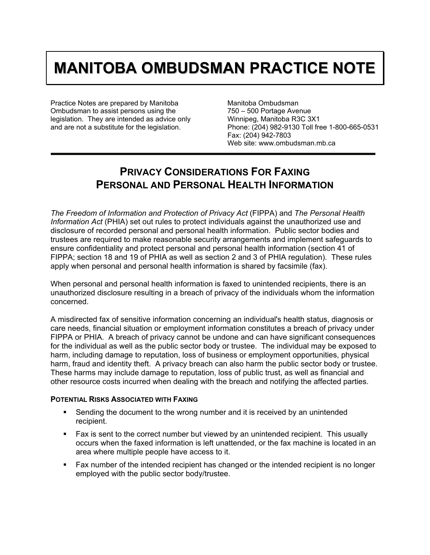## **MANITOBA OMBUDSMAN PRACTICE NOTE**

Practice Notes are prepared by Manitoba Ombudsman to assist persons using the legislation. They are intended as advice only and are not a substitute for the legislation.

Manitoba Ombudsman 750 – 500 Portage Avenue Winnipeg, Manitoba R3C 3X1 Phone: (204) 982-9130 Toll free 1-800-665-0531 Fax: (204) 942-7803 Web site: www.ombudsman.mb.ca

## **PRIVACY CONSIDERATIONS FOR FAXING PERSONAL AND PERSONAL HEALTH INFORMATION**

*The Freedom of Information and Protection of Privacy Act* (FIPPA) and *The Personal Health Information Act* (PHIA) set out rules to protect individuals against the unauthorized use and disclosure of recorded personal and personal health information. Public sector bodies and trustees are required to make reasonable security arrangements and implement safeguards to ensure confidentiality and protect personal and personal health information (section 41 of FIPPA; section 18 and 19 of PHIA as well as section 2 and 3 of PHIA regulation). These rules apply when personal and personal health information is shared by facsimile (fax).

When personal and personal health information is faxed to unintended recipients, there is an unauthorized disclosure resulting in a breach of privacy of the individuals whom the information concerned.

A misdirected fax of sensitive information concerning an individual's health status, diagnosis or care needs, financial situation or employment information constitutes a breach of privacy under FIPPA or PHIA. A breach of privacy cannot be undone and can have significant consequences for the individual as well as the public sector body or trustee. The individual may be exposed to harm, including damage to reputation, loss of business or employment opportunities, physical harm, fraud and identity theft. A privacy breach can also harm the public sector body or trustee. These harms may include damage to reputation, loss of public trust, as well as financial and other resource costs incurred when dealing with the breach and notifying the affected parties.

## **POTENTIAL RISKS ASSOCIATED WITH FAXING**

- Sending the document to the wrong number and it is received by an unintended recipient.
- Fax is sent to the correct number but viewed by an unintended recipient. This usually occurs when the faxed information is left unattended, or the fax machine is located in an area where multiple people have access to it.
- Fax number of the intended recipient has changed or the intended recipient is no longer employed with the public sector body/trustee.